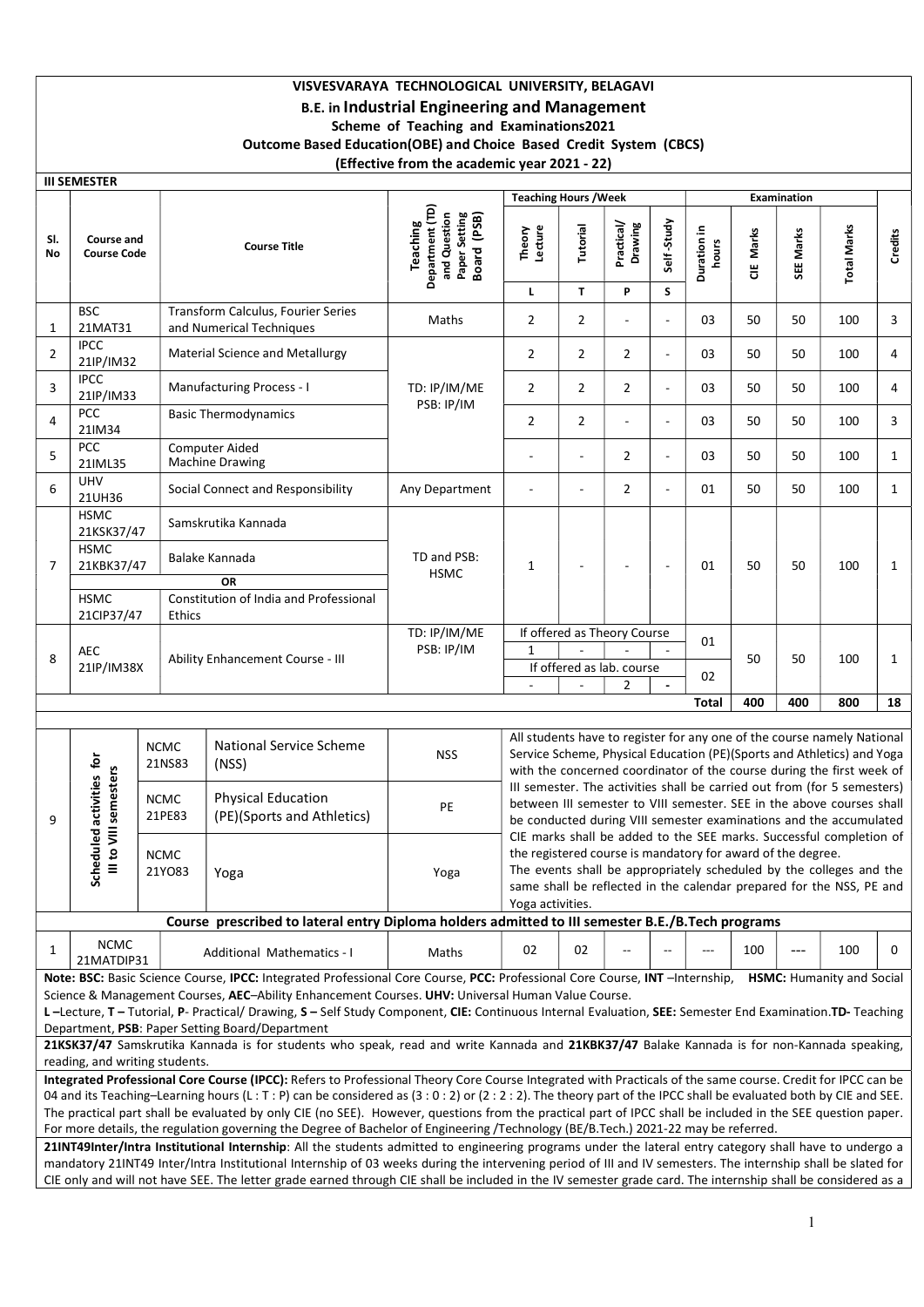# VISVESVARAYA TECHNOLOGICAL UNIVERSITY, BELAGAVI B.E. in Industrial Engineering and Management Scheme of Teaching and Examinations2021 Outcome Based Education(OBE) and Choice Based Credit System (CBCS) (Effective from the academic year 2021 - 22)

|                                                                                                                                                                                                                                                                                                                                                                                                                                                                                         |                                           |                       |                                                                                                                                                                                                                                                                                                                              | ENCONVE NON THE GOGGERING YOUR LOLL                                                |                                                                                                                                                                                                                            |                          |                       |                          |                                                                                                                                                                                                                                                                                   |           |                    |                                  |              |  |
|-----------------------------------------------------------------------------------------------------------------------------------------------------------------------------------------------------------------------------------------------------------------------------------------------------------------------------------------------------------------------------------------------------------------------------------------------------------------------------------------|-------------------------------------------|-----------------------|------------------------------------------------------------------------------------------------------------------------------------------------------------------------------------------------------------------------------------------------------------------------------------------------------------------------------|------------------------------------------------------------------------------------|----------------------------------------------------------------------------------------------------------------------------------------------------------------------------------------------------------------------------|--------------------------|-----------------------|--------------------------|-----------------------------------------------------------------------------------------------------------------------------------------------------------------------------------------------------------------------------------------------------------------------------------|-----------|--------------------|----------------------------------|--------------|--|
|                                                                                                                                                                                                                                                                                                                                                                                                                                                                                         | <b>III SEMESTER</b>                       |                       |                                                                                                                                                                                                                                                                                                                              |                                                                                    | <b>Teaching Hours / Week</b>                                                                                                                                                                                               |                          |                       |                          |                                                                                                                                                                                                                                                                                   |           | <b>Examination</b> |                                  |              |  |
| SI.<br>No                                                                                                                                                                                                                                                                                                                                                                                                                                                                               | <b>Course and</b><br><b>Course Code</b>   |                       | <b>Course Title</b>                                                                                                                                                                                                                                                                                                          | Department (TD)<br>and Question<br>Paper Setting<br>Board (PSB)<br><b>Teaching</b> | Theory<br>Lecture                                                                                                                                                                                                          | Tutorial                 | Practical/<br>Drawing | Self-Study               | Duration in<br>hours                                                                                                                                                                                                                                                              | CIE Marks | SEE Marks          | <b>Total Marks</b>               | Credits      |  |
|                                                                                                                                                                                                                                                                                                                                                                                                                                                                                         |                                           |                       |                                                                                                                                                                                                                                                                                                                              |                                                                                    | L.                                                                                                                                                                                                                         | $\mathbf{T}$             | P                     | S.                       |                                                                                                                                                                                                                                                                                   |           |                    |                                  |              |  |
| $\mathbf{1}$                                                                                                                                                                                                                                                                                                                                                                                                                                                                            | <b>BSC</b><br>21MAT31                     |                       | Transform Calculus, Fourier Series<br>and Numerical Techniques                                                                                                                                                                                                                                                               | Maths                                                                              | $\overline{2}$                                                                                                                                                                                                             | $\overline{2}$           |                       | L,                       | 03                                                                                                                                                                                                                                                                                | 50        | 50                 | 100                              | 3            |  |
| $\overline{2}$                                                                                                                                                                                                                                                                                                                                                                                                                                                                          | <b>IPCC</b><br>21IP/IM32                  |                       | <b>Material Science and Metallurgy</b>                                                                                                                                                                                                                                                                                       |                                                                                    | $\overline{2}$                                                                                                                                                                                                             | $\overline{2}$           | $\overline{2}$        | $\sim$                   | 03                                                                                                                                                                                                                                                                                | 50        | 50                 | 100                              | 4            |  |
| 3                                                                                                                                                                                                                                                                                                                                                                                                                                                                                       | <b>IPCC</b><br>21IP/IM33                  |                       | Manufacturing Process - I                                                                                                                                                                                                                                                                                                    | TD: IP/IM/ME<br>PSB: IP/IM                                                         | $\overline{2}$                                                                                                                                                                                                             | $\overline{2}$           | $\overline{2}$        | $\sim$                   | 03                                                                                                                                                                                                                                                                                | 50        | 50                 | 100                              | 4            |  |
| 4                                                                                                                                                                                                                                                                                                                                                                                                                                                                                       | PCC<br>21IM34                             |                       | <b>Basic Thermodynamics</b>                                                                                                                                                                                                                                                                                                  |                                                                                    | $\overline{2}$                                                                                                                                                                                                             | $\overline{2}$           |                       | $\overline{\phantom{a}}$ | 03                                                                                                                                                                                                                                                                                | 50        | 50                 | 100                              | 3            |  |
| 5                                                                                                                                                                                                                                                                                                                                                                                                                                                                                       | PCC<br>21IML35                            |                       | <b>Computer Aided</b><br><b>Machine Drawing</b>                                                                                                                                                                                                                                                                              |                                                                                    |                                                                                                                                                                                                                            |                          | $\overline{2}$        |                          | 03                                                                                                                                                                                                                                                                                | 50        | 50                 | 100                              | 1            |  |
| 6                                                                                                                                                                                                                                                                                                                                                                                                                                                                                       | UHV<br>21UH36                             |                       | Social Connect and Responsibility                                                                                                                                                                                                                                                                                            | Any Department                                                                     | $\overline{a}$                                                                                                                                                                                                             | ÷,                       | $\overline{2}$        | ÷,                       | 01                                                                                                                                                                                                                                                                                | 50        | 50                 | 100                              | $\mathbf{1}$ |  |
|                                                                                                                                                                                                                                                                                                                                                                                                                                                                                         | <b>HSMC</b><br>21KSK37/47<br><b>HSMC</b>  |                       | Samskrutika Kannada                                                                                                                                                                                                                                                                                                          |                                                                                    |                                                                                                                                                                                                                            |                          |                       |                          |                                                                                                                                                                                                                                                                                   |           |                    |                                  |              |  |
| $\overline{7}$                                                                                                                                                                                                                                                                                                                                                                                                                                                                          | 21KBK37/47                                |                       | Balake Kannada<br><b>OR</b>                                                                                                                                                                                                                                                                                                  | TD and PSB:<br><b>HSMC</b>                                                         | $\mathbf{1}$                                                                                                                                                                                                               | $\overline{\phantom{a}}$ | $\overline{a}$        | $\sim$                   | 01                                                                                                                                                                                                                                                                                | 50        | 50                 | 100                              | 1            |  |
|                                                                                                                                                                                                                                                                                                                                                                                                                                                                                         | <b>HSMC</b><br>21CIP37/47                 | Ethics                | Constitution of India and Professional                                                                                                                                                                                                                                                                                       |                                                                                    |                                                                                                                                                                                                                            |                          |                       |                          |                                                                                                                                                                                                                                                                                   |           |                    |                                  |              |  |
| 8                                                                                                                                                                                                                                                                                                                                                                                                                                                                                       | AEC                                       |                       | Ability Enhancement Course - III                                                                                                                                                                                                                                                                                             | TD: IP/IM/ME<br>PSB: IP/IM                                                         | If offered as Theory Course<br>$\mathbf{1}$<br>If offered as lab. course                                                                                                                                                   |                          |                       | 01                       |                                                                                                                                                                                                                                                                                   | 50<br>50  | 100                | $\mathbf{1}$                     |              |  |
|                                                                                                                                                                                                                                                                                                                                                                                                                                                                                         | 21IP/IM38X                                |                       |                                                                                                                                                                                                                                                                                                                              |                                                                                    | $\sim$                                                                                                                                                                                                                     | $\sim$                   | $\overline{2}$        | $\sim$                   | 02                                                                                                                                                                                                                                                                                |           |                    |                                  |              |  |
| 400<br>400<br>800<br><b>Total</b><br>18                                                                                                                                                                                                                                                                                                                                                                                                                                                 |                                           |                       |                                                                                                                                                                                                                                                                                                                              |                                                                                    |                                                                                                                                                                                                                            |                          |                       |                          |                                                                                                                                                                                                                                                                                   |           |                    |                                  |              |  |
|                                                                                                                                                                                                                                                                                                                                                                                                                                                                                         |                                           | <b>NCMC</b><br>21NS83 | <b>National Service Scheme</b><br>(NSS)                                                                                                                                                                                                                                                                                      | <b>NSS</b>                                                                         | All students have to register for any one of the course namely National<br>Service Scheme, Physical Education (PE)(Sports and Athletics) and Yoga<br>with the concerned coordinator of the course during the first week of |                          |                       |                          |                                                                                                                                                                                                                                                                                   |           |                    |                                  |              |  |
| 9                                                                                                                                                                                                                                                                                                                                                                                                                                                                                       | duled activities for<br>to VIII semesters | <b>NCMC</b><br>21PE83 | <b>Physical Education</b><br>(PE)(Sports and Athletics)                                                                                                                                                                                                                                                                      | PE                                                                                 |                                                                                                                                                                                                                            |                          |                       |                          | III semester. The activities shall be carried out from (for 5 semesters)<br>between III semester to VIII semester. SEE in the above courses shall<br>be conducted during VIII semester examinations and the accumulated                                                           |           |                    |                                  |              |  |
|                                                                                                                                                                                                                                                                                                                                                                                                                                                                                         | Sche<br>Ξ                                 | <b>NCMC</b><br>21Y083 | Yoga                                                                                                                                                                                                                                                                                                                         | Yoga                                                                               | Yoga activities.                                                                                                                                                                                                           |                          |                       |                          | CIE marks shall be added to the SEE marks. Successful completion of<br>the registered course is mandatory for award of the degree.<br>The events shall be appropriately scheduled by the colleges and the<br>same shall be reflected in the calendar prepared for the NSS, PE and |           |                    |                                  |              |  |
|                                                                                                                                                                                                                                                                                                                                                                                                                                                                                         |                                           |                       | Course prescribed to lateral entry Diploma holders admitted to III semester B.E./B.Tech programs                                                                                                                                                                                                                             |                                                                                    |                                                                                                                                                                                                                            |                          |                       |                          |                                                                                                                                                                                                                                                                                   |           |                    |                                  |              |  |
| 1                                                                                                                                                                                                                                                                                                                                                                                                                                                                                       | <b>NCMC</b><br>21MATDIP31                 |                       | Additional Mathematics - I                                                                                                                                                                                                                                                                                                   | Maths                                                                              | 02                                                                                                                                                                                                                         | 02                       |                       |                          | ---                                                                                                                                                                                                                                                                               | 100       | $---$              | 100                              | 0            |  |
|                                                                                                                                                                                                                                                                                                                                                                                                                                                                                         |                                           |                       | Note: BSC: Basic Science Course, IPCC: Integrated Professional Core Course, PCC: Professional Core Course, INT - Internship,<br>Science & Management Courses, AEC-Ability Enhancement Courses. UHV: Universal Human Value Course.                                                                                            |                                                                                    |                                                                                                                                                                                                                            |                          |                       |                          |                                                                                                                                                                                                                                                                                   |           |                    | <b>HSMC:</b> Humanity and Social |              |  |
|                                                                                                                                                                                                                                                                                                                                                                                                                                                                                         |                                           |                       | L-Lecture, T-Tutorial, P-Practical/Drawing, S-Self Study Component, CIE: Continuous Internal Evaluation, SEE: Semester End Examination.TD-Teaching                                                                                                                                                                           |                                                                                    |                                                                                                                                                                                                                            |                          |                       |                          |                                                                                                                                                                                                                                                                                   |           |                    |                                  |              |  |
|                                                                                                                                                                                                                                                                                                                                                                                                                                                                                         |                                           |                       | Department, PSB: Paper Setting Board/Department<br>21KSK37/47 Samskrutika Kannada is for students who speak, read and write Kannada and 21KBK37/47 Balake Kannada is for non-Kannada speaking,                                                                                                                               |                                                                                    |                                                                                                                                                                                                                            |                          |                       |                          |                                                                                                                                                                                                                                                                                   |           |                    |                                  |              |  |
|                                                                                                                                                                                                                                                                                                                                                                                                                                                                                         | reading, and writing students.            |                       |                                                                                                                                                                                                                                                                                                                              |                                                                                    |                                                                                                                                                                                                                            |                          |                       |                          |                                                                                                                                                                                                                                                                                   |           |                    |                                  |              |  |
|                                                                                                                                                                                                                                                                                                                                                                                                                                                                                         |                                           |                       | Integrated Professional Core Course (IPCC): Refers to Professional Theory Core Course Integrated with Practicals of the same course. Credit for IPCC can be                                                                                                                                                                  |                                                                                    |                                                                                                                                                                                                                            |                          |                       |                          |                                                                                                                                                                                                                                                                                   |           |                    |                                  |              |  |
|                                                                                                                                                                                                                                                                                                                                                                                                                                                                                         |                                           |                       | 04 and its Teaching-Learning hours (L: T: P) can be considered as (3: 0: 2) or (2: 2: 2). The theory part of the IPCC shall be evaluated both by CIE and SEE.<br>The practical part shall be evaluated by only CIE (no SEE). However, questions from the practical part of IPCC shall be included in the SEE question paper. |                                                                                    |                                                                                                                                                                                                                            |                          |                       |                          |                                                                                                                                                                                                                                                                                   |           |                    |                                  |              |  |
|                                                                                                                                                                                                                                                                                                                                                                                                                                                                                         |                                           |                       | For more details, the regulation governing the Degree of Bachelor of Engineering /Technology (BE/B.Tech.) 2021-22 may be referred.                                                                                                                                                                                           |                                                                                    |                                                                                                                                                                                                                            |                          |                       |                          |                                                                                                                                                                                                                                                                                   |           |                    |                                  |              |  |
|                                                                                                                                                                                                                                                                                                                                                                                                                                                                                         |                                           |                       |                                                                                                                                                                                                                                                                                                                              |                                                                                    |                                                                                                                                                                                                                            |                          |                       |                          |                                                                                                                                                                                                                                                                                   |           |                    |                                  |              |  |
| 21INT49Inter/Intra Institutional Internship: All the students admitted to engineering programs under the lateral entry category shall have to undergo a<br>mandatory 21INT49 Inter/Intra Institutional Internship of 03 weeks during the intervening period of III and IV semesters. The internship shall be slated for<br>CIE only and will not have SEE. The letter grade earned through CIE shall be included in the IV semester grade card. The internship shall be considered as a |                                           |                       |                                                                                                                                                                                                                                                                                                                              |                                                                                    |                                                                                                                                                                                                                            |                          |                       |                          |                                                                                                                                                                                                                                                                                   |           |                    |                                  |              |  |
|                                                                                                                                                                                                                                                                                                                                                                                                                                                                                         |                                           |                       |                                                                                                                                                                                                                                                                                                                              |                                                                                    |                                                                                                                                                                                                                            |                          |                       |                          |                                                                                                                                                                                                                                                                                   |           |                    |                                  |              |  |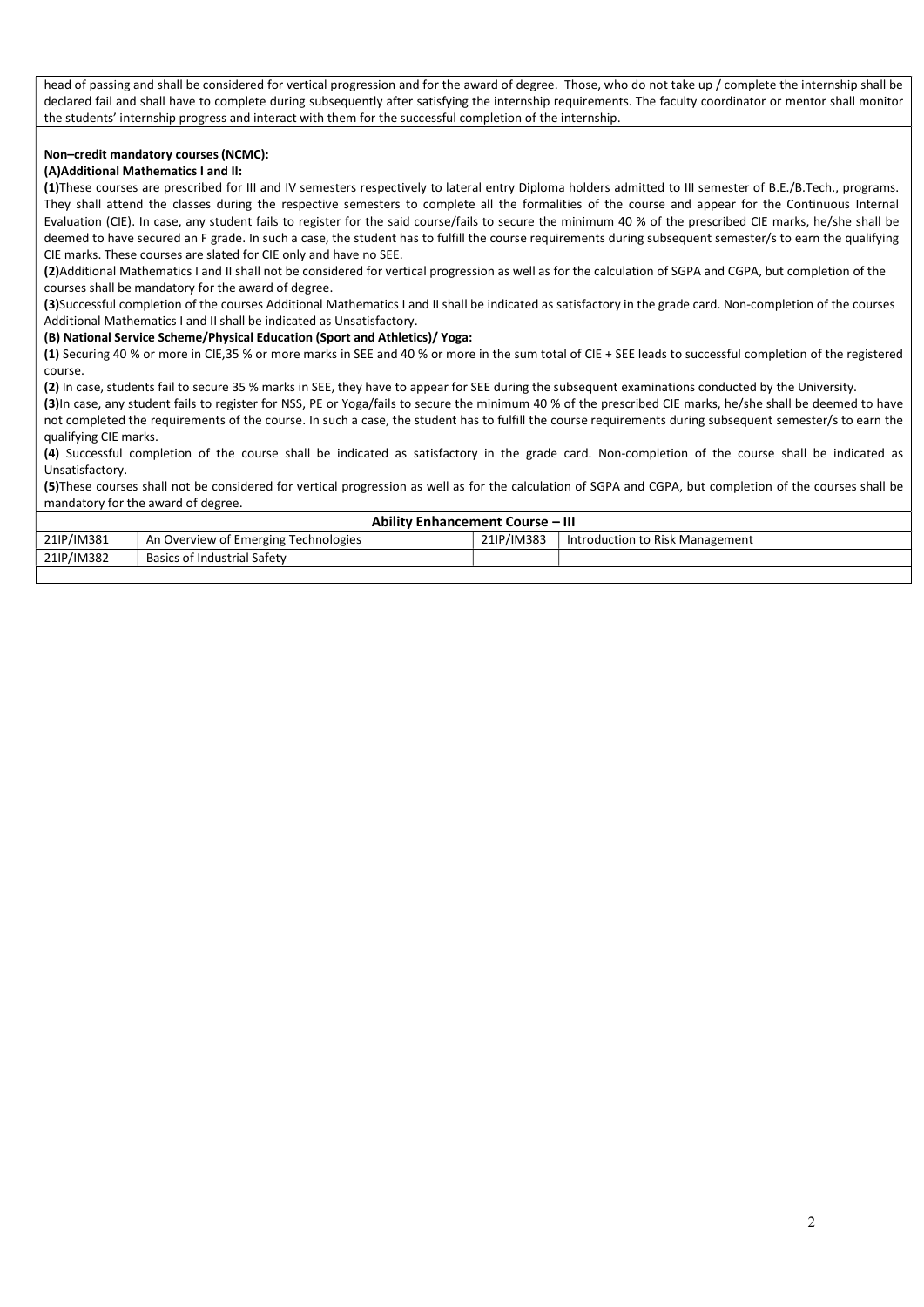head of passing and shall be considered for vertical progression and for the award of degree. Those, who do not take up / complete the internship shall be declared fail and shall have to complete during subsequently after satisfying the internship requirements. The faculty coordinator or mentor shall monitor the students' internship progress and interact with them for the successful completion of the internship.

## Non–credit mandatory courses (NCMC):

## (A)Additional Mathematics I and II:

(1)These courses are prescribed for III and IV semesters respectively to lateral entry Diploma holders admitted to III semester of B.E./B.Tech., programs. They shall attend the classes during the respective semesters to complete all the formalities of the course and appear for the Continuous Internal Evaluation (CIE). In case, any student fails to register for the said course/fails to secure the minimum 40 % of the prescribed CIE marks, he/she shall be deemed to have secured an F grade. In such a case, the student has to fulfill the course requirements during subsequent semester/s to earn the qualifying CIE marks. These courses are slated for CIE only and have no SEE.

(2)Additional Mathematics I and II shall not be considered for vertical progression as well as for the calculation of SGPA and CGPA, but completion of the courses shall be mandatory for the award of degree.

(3)Successful completion of the courses Additional Mathematics I and II shall be indicated as satisfactory in the grade card. Non-completion of the courses Additional Mathematics I and II shall be indicated as Unsatisfactory.

#### (B) National Service Scheme/Physical Education (Sport and Athletics)/ Yoga:

(1) Securing 40 % or more in CIE,35 % or more marks in SEE and 40 % or more in the sum total of CIE + SEE leads to successful completion of the registered course.

(2) In case, students fail to secure 35 % marks in SEE, they have to appear for SEE during the subsequent examinations conducted by the University.

(3)In case, any student fails to register for NSS, PE or Yoga/fails to secure the minimum 40 % of the prescribed CIE marks, he/she shall be deemed to have not completed the requirements of the course. In such a case, the student has to fulfill the course requirements during subsequent semester/s to earn the qualifying CIE marks.

(4) Successful completion of the course shall be indicated as satisfactory in the grade card. Non-completion of the course shall be indicated as Unsatisfactory.

(5)These courses shall not be considered for vertical progression as well as for the calculation of SGPA and CGPA, but completion of the courses shall be mandatory for the award of degree.

| <b>Ability Enhancement Course - III</b> |                                      |            |                                 |  |  |  |  |  |  |  |  |
|-----------------------------------------|--------------------------------------|------------|---------------------------------|--|--|--|--|--|--|--|--|
| 21IP/IM381                              | An Overview of Emerging Technologies | 21IP/IM383 | Introduction to Risk Management |  |  |  |  |  |  |  |  |
| 21IP/IM382                              | <b>Basics of Industrial Safety</b>   |            |                                 |  |  |  |  |  |  |  |  |
|                                         |                                      |            |                                 |  |  |  |  |  |  |  |  |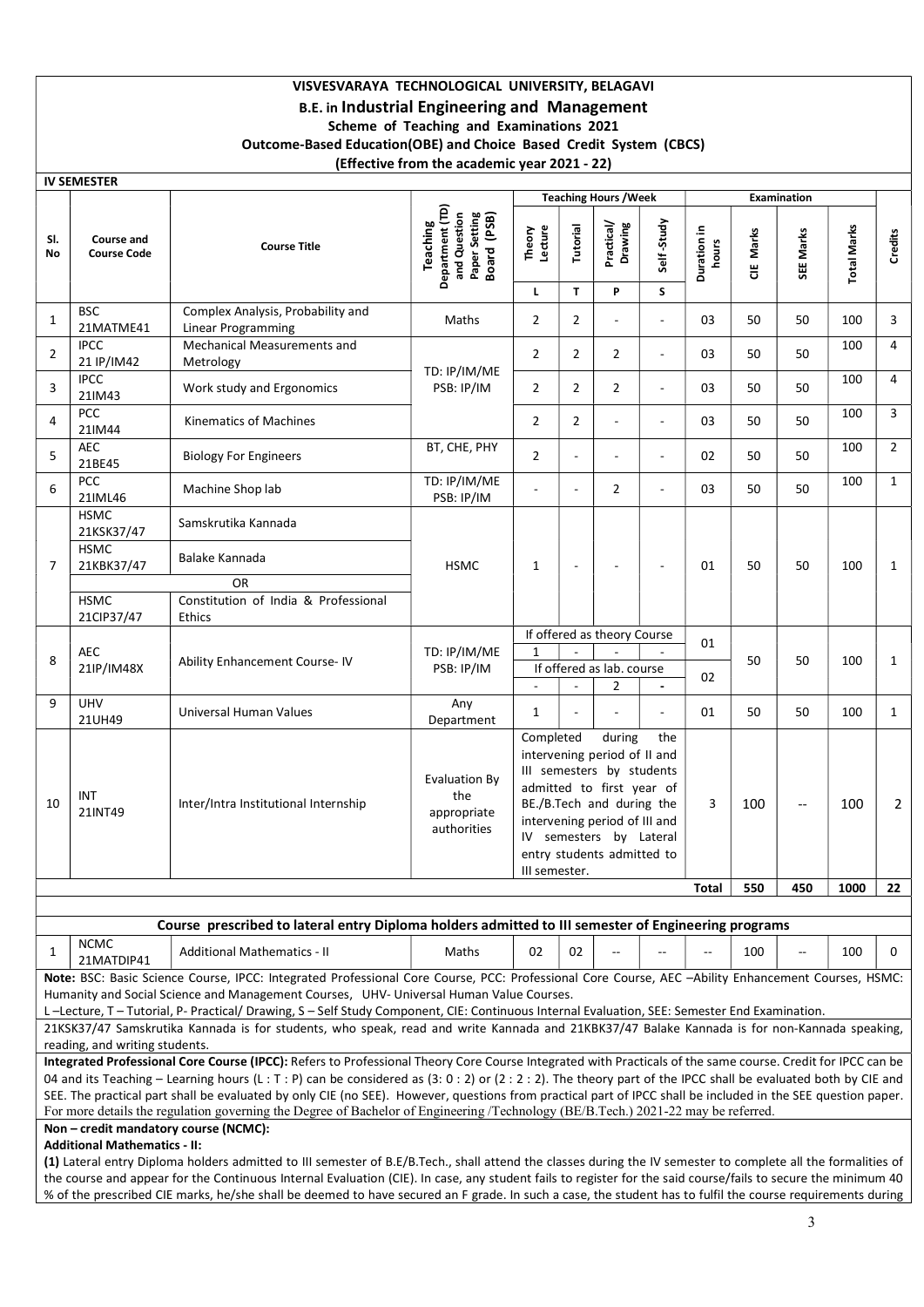# VISVESVARAYA TECHNOLOGICAL UNIVERSITY, BELAGAVI B.E. in Industrial Engineering and Management Scheme of Teaching and Examinations 2021 Outcome-Based Education(OBE) and Choice Based Credit System (CBCS) (Effective from the academic year 2021 - 22)

|                | <b>IV SEMESTER</b>                      |                                                                                                                                                                                                                                                                                                                                                                                                                                                                                                                                                                                                                                                                                                                                                                                                                                                                                                                                                                                                                                            |                                                                                 |                                                                                                                                                                                                                                                              |                |                                |                          |                      |           |                          |                    |                |
|----------------|-----------------------------------------|--------------------------------------------------------------------------------------------------------------------------------------------------------------------------------------------------------------------------------------------------------------------------------------------------------------------------------------------------------------------------------------------------------------------------------------------------------------------------------------------------------------------------------------------------------------------------------------------------------------------------------------------------------------------------------------------------------------------------------------------------------------------------------------------------------------------------------------------------------------------------------------------------------------------------------------------------------------------------------------------------------------------------------------------|---------------------------------------------------------------------------------|--------------------------------------------------------------------------------------------------------------------------------------------------------------------------------------------------------------------------------------------------------------|----------------|--------------------------------|--------------------------|----------------------|-----------|--------------------------|--------------------|----------------|
|                |                                         |                                                                                                                                                                                                                                                                                                                                                                                                                                                                                                                                                                                                                                                                                                                                                                                                                                                                                                                                                                                                                                            |                                                                                 |                                                                                                                                                                                                                                                              |                | <b>Teaching Hours / Week</b>   |                          |                      |           | <b>Examination</b>       |                    |                |
| SI.<br>No      | <b>Course and</b><br><b>Course Code</b> | <b>Course Title</b>                                                                                                                                                                                                                                                                                                                                                                                                                                                                                                                                                                                                                                                                                                                                                                                                                                                                                                                                                                                                                        | Department (TD)<br>Setting<br>Board (PSB)<br>and Question<br>Teaching<br>Paper: | Lecture<br>Theory                                                                                                                                                                                                                                            | Tutorial       | Practical/<br>Drawing          | Self-Study               | Duration in<br>hours | CIE Marks | SEE Marks                | <b>Total Marks</b> | Credits        |
|                |                                         |                                                                                                                                                                                                                                                                                                                                                                                                                                                                                                                                                                                                                                                                                                                                                                                                                                                                                                                                                                                                                                            |                                                                                 | L                                                                                                                                                                                                                                                            | T              | P                              | S                        |                      |           |                          |                    |                |
| 1              | <b>BSC</b><br>21MATME41                 | Complex Analysis, Probability and<br><b>Linear Programming</b>                                                                                                                                                                                                                                                                                                                                                                                                                                                                                                                                                                                                                                                                                                                                                                                                                                                                                                                                                                             | Maths                                                                           | 2                                                                                                                                                                                                                                                            | $\overline{2}$ |                                | $\sim$                   | 03                   | 50        | 50                       | 100                | 3              |
| $\overline{2}$ | <b>IPCC</b><br>21 IP/IM42               | Mechanical Measurements and<br>Metrology                                                                                                                                                                                                                                                                                                                                                                                                                                                                                                                                                                                                                                                                                                                                                                                                                                                                                                                                                                                                   | TD: IP/IM/ME                                                                    | $\overline{2}$                                                                                                                                                                                                                                               | $\overline{2}$ | $\overline{2}$                 | $\sim$                   | 03                   | 50        | 50                       | 100                | $\overline{4}$ |
| 3              | <b>IPCC</b><br>21IM43                   | Work study and Ergonomics                                                                                                                                                                                                                                                                                                                                                                                                                                                                                                                                                                                                                                                                                                                                                                                                                                                                                                                                                                                                                  | PSB: IP/IM                                                                      | 2                                                                                                                                                                                                                                                            | $\overline{2}$ | $\overline{2}$                 | $\blacksquare$           | 03                   | 50        | 50                       | 100                | $\overline{4}$ |
| 4              | <b>PCC</b><br>21IM44                    | Kinematics of Machines                                                                                                                                                                                                                                                                                                                                                                                                                                                                                                                                                                                                                                                                                                                                                                                                                                                                                                                                                                                                                     |                                                                                 | 2                                                                                                                                                                                                                                                            | $\overline{2}$ |                                |                          | 03                   | 50        | 50                       | 100                | 3              |
| 5              | AEC<br>21BE45                           | <b>Biology For Engineers</b>                                                                                                                                                                                                                                                                                                                                                                                                                                                                                                                                                                                                                                                                                                                                                                                                                                                                                                                                                                                                               | BT, CHE, PHY                                                                    | $\overline{2}$                                                                                                                                                                                                                                               |                |                                |                          | 02                   | 50        | 50                       | 100                | $\overline{2}$ |
| 6              | PCC<br>21IML46                          | Machine Shop lab                                                                                                                                                                                                                                                                                                                                                                                                                                                                                                                                                                                                                                                                                                                                                                                                                                                                                                                                                                                                                           | TD: IP/IM/ME<br>PSB: IP/IM                                                      |                                                                                                                                                                                                                                                              | $\blacksquare$ | $\overline{2}$                 | $\blacksquare$           | 03                   | 50        | 50                       | 100                | $\mathbf{1}$   |
|                | <b>HSMC</b><br>21KSK37/47               | Samskrutika Kannada                                                                                                                                                                                                                                                                                                                                                                                                                                                                                                                                                                                                                                                                                                                                                                                                                                                                                                                                                                                                                        |                                                                                 |                                                                                                                                                                                                                                                              |                |                                |                          |                      | 50        |                          |                    |                |
| 7              | <b>HSMC</b><br>21KBK37/47               | Balake Kannada                                                                                                                                                                                                                                                                                                                                                                                                                                                                                                                                                                                                                                                                                                                                                                                                                                                                                                                                                                                                                             | <b>HSMC</b>                                                                     | 1                                                                                                                                                                                                                                                            | $\blacksquare$ |                                | $\overline{\phantom{a}}$ | 01                   |           | 50                       | 100                | 1              |
|                | <b>HSMC</b>                             | <b>OR</b><br>Constitution of India & Professional                                                                                                                                                                                                                                                                                                                                                                                                                                                                                                                                                                                                                                                                                                                                                                                                                                                                                                                                                                                          |                                                                                 |                                                                                                                                                                                                                                                              |                |                                |                          |                      |           |                          |                    |                |
|                | 21CIP37/47                              | <b>Ethics</b>                                                                                                                                                                                                                                                                                                                                                                                                                                                                                                                                                                                                                                                                                                                                                                                                                                                                                                                                                                                                                              |                                                                                 |                                                                                                                                                                                                                                                              |                |                                |                          |                      |           |                          |                    |                |
| 8              | AEC<br>21IP/IM48X                       | Ability Enhancement Course- IV                                                                                                                                                                                                                                                                                                                                                                                                                                                                                                                                                                                                                                                                                                                                                                                                                                                                                                                                                                                                             | TD: IP/IM/ME                                                                    | If offered as theory Course<br>$\mathbf{1}$                                                                                                                                                                                                                  |                |                                |                          | 01                   | 50        | 50                       | 100                | $\mathbf{1}$   |
|                |                                         |                                                                                                                                                                                                                                                                                                                                                                                                                                                                                                                                                                                                                                                                                                                                                                                                                                                                                                                                                                                                                                            | PSB: IP/IM                                                                      | $\mathbf{r}$                                                                                                                                                                                                                                                 |                | If offered as lab. course<br>2 | $\blacksquare$           | 02                   |           |                          |                    |                |
| 9              | <b>UHV</b><br>21UH49                    | Universal Human Values                                                                                                                                                                                                                                                                                                                                                                                                                                                                                                                                                                                                                                                                                                                                                                                                                                                                                                                                                                                                                     | Any<br>Department                                                               | 1                                                                                                                                                                                                                                                            |                |                                |                          | 01                   | 50        | 50                       | 100                | $\mathbf{1}$   |
| 10             | INT<br>21INT49                          | Inter/Intra Institutional Internship                                                                                                                                                                                                                                                                                                                                                                                                                                                                                                                                                                                                                                                                                                                                                                                                                                                                                                                                                                                                       | <b>Evaluation By</b><br>the<br>appropriate<br>authorities                       | Completed<br>during<br>the<br>intervening period of II and<br>III semesters by students<br>admitted to first year of<br>BE./B.Tech and during the<br>intervening period of III and<br>IV semesters by Lateral<br>entry students admitted to<br>III semester. |                |                                |                          | 3                    | 100       | $\overline{\phantom{a}}$ | 100                | 2              |
|                |                                         |                                                                                                                                                                                                                                                                                                                                                                                                                                                                                                                                                                                                                                                                                                                                                                                                                                                                                                                                                                                                                                            |                                                                                 |                                                                                                                                                                                                                                                              |                |                                |                          | Total                | 550       | 450                      | 1000               | 22             |
|                |                                         | Course prescribed to lateral entry Diploma holders admitted to III semester of Engineering programs                                                                                                                                                                                                                                                                                                                                                                                                                                                                                                                                                                                                                                                                                                                                                                                                                                                                                                                                        |                                                                                 |                                                                                                                                                                                                                                                              |                |                                |                          |                      |           |                          |                    |                |
| 1              | <b>NCMC</b><br>21MATDIP41               | <b>Additional Mathematics - II</b>                                                                                                                                                                                                                                                                                                                                                                                                                                                                                                                                                                                                                                                                                                                                                                                                                                                                                                                                                                                                         | Maths                                                                           | 02                                                                                                                                                                                                                                                           | 02             |                                | $\overline{\phantom{a}}$ | $-$                  | 100       | $\sim$ $\sim$            | 100                | 0              |
|                | reading, and writing students.          | Note: BSC: Basic Science Course, IPCC: Integrated Professional Core Course, PCC: Professional Core Course, AEC -Ability Enhancement Courses, HSMC:<br>Humanity and Social Science and Management Courses, UHV- Universal Human Value Courses.<br>L-Lecture, T-Tutorial, P-Practical/Drawing, S-Self Study Component, CIE: Continuous Internal Evaluation, SEE: Semester End Examination.<br>21KSK37/47 Samskrutika Kannada is for students, who speak, read and write Kannada and 21KBK37/47 Balake Kannada is for non-Kannada speaking,<br>Integrated Professional Core Course (IPCC): Refers to Professional Theory Core Course Integrated with Practicals of the same course. Credit for IPCC can be<br>04 and its Teaching – Learning hours (L : T : P) can be considered as (3: 0 : 2) or (2 : 2 : 2). The theory part of the IPCC shall be evaluated both by CIE and<br>SEE. The practical part shall be evaluated by only CIE (no SEE). However, questions from practical part of IPCC shall be included in the SEE question paper. |                                                                                 |                                                                                                                                                                                                                                                              |                |                                |                          |                      |           |                          |                    |                |
|                |                                         | For more details the regulation governing the Degree of Bachelor of Engineering /Technology (BE/B.Tech.) 2021-22 may be referred.<br>Non - credit mandatory course (NCMC):                                                                                                                                                                                                                                                                                                                                                                                                                                                                                                                                                                                                                                                                                                                                                                                                                                                                 |                                                                                 |                                                                                                                                                                                                                                                              |                |                                |                          |                      |           |                          |                    |                |
|                | <b>Additional Mathematics - II:</b>     |                                                                                                                                                                                                                                                                                                                                                                                                                                                                                                                                                                                                                                                                                                                                                                                                                                                                                                                                                                                                                                            |                                                                                 |                                                                                                                                                                                                                                                              |                |                                |                          |                      |           |                          |                    |                |
|                |                                         | (1) Lateral entry Diploma holders admitted to III semester of B.E/B.Tech., shall attend the classes during the IV semester to complete all the formalities of                                                                                                                                                                                                                                                                                                                                                                                                                                                                                                                                                                                                                                                                                                                                                                                                                                                                              |                                                                                 |                                                                                                                                                                                                                                                              |                |                                |                          |                      |           |                          |                    |                |

the course and appear for the Continuous Internal Evaluation (CIE). In case, any student fails to register for the said course/fails to secure the minimum 40 % of the prescribed CIE marks, he/she shall be deemed to have secured an F grade. In such a case, the student has to fulfil the course requirements during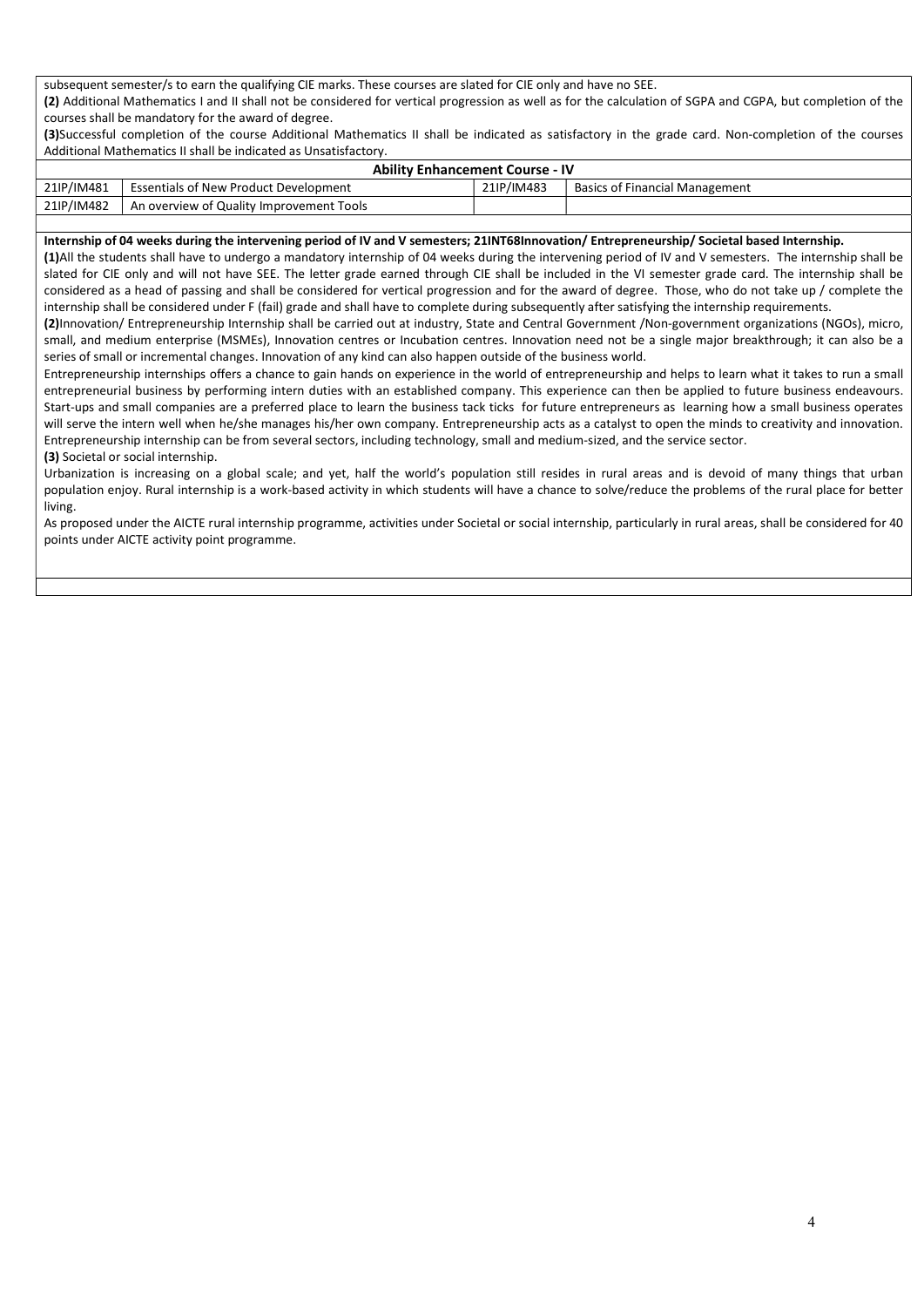subsequent semester/s to earn the qualifying CIE marks. These courses are slated for CIE only and have no SEE. (2) Additional Mathematics I and II shall not be considered for vertical progression as well as for the calculation of SGPA and CGPA, but completion of the courses shall be mandatory for the award of degree.

(3)Successful completion of the course Additional Mathematics II shall be indicated as satisfactory in the grade card. Non-completion of the courses Additional Mathematics II shall be indicated as Unsatisfactory.

| <b>Ability Enhancement Course - IV</b> |                                              |            |                                       |  |  |  |  |  |  |  |  |
|----------------------------------------|----------------------------------------------|------------|---------------------------------------|--|--|--|--|--|--|--|--|
| 21IP/IM481                             | <b>Essentials of New Product Development</b> | 21IP/IM483 | <b>Basics of Financial Management</b> |  |  |  |  |  |  |  |  |
| 21IP/IM482                             | An overview of Quality Improvement Tools     |            |                                       |  |  |  |  |  |  |  |  |

## Internship of 04 weeks during the intervening period of IV and V semesters; 21INT68Innovation/ Entrepreneurship/ Societal based Internship.

(1)All the students shall have to undergo a mandatory internship of 04 weeks during the intervening period of IV and V semesters. The internship shall be slated for CIE only and will not have SEE. The letter grade earned through CIE shall be included in the VI semester grade card. The internship shall be considered as a head of passing and shall be considered for vertical progression and for the award of degree. Those, who do not take up / complete the internship shall be considered under F (fail) grade and shall have to complete during subsequently after satisfying the internship requirements.

(2)Innovation/ Entrepreneurship Internship shall be carried out at industry, State and Central Government /Non-government organizations (NGOs), micro, small, and medium enterprise (MSMEs), Innovation centres or Incubation centres. Innovation need not be a single major breakthrough; it can also be a series of small or incremental changes. Innovation of any kind can also happen outside of the business world.

Entrepreneurship internships offers a chance to gain hands on experience in the world of entrepreneurship and helps to learn what it takes to run a small entrepreneurial business by performing intern duties with an established company. This experience can then be applied to future business endeavours. Start-ups and small companies are a preferred place to learn the business tack ticks for future entrepreneurs as learning how a small business operates will serve the intern well when he/she manages his/her own company. Entrepreneurship acts as a catalyst to open the minds to creativity and innovation. Entrepreneurship internship can be from several sectors, including technology, small and medium-sized, and the service sector.

(3) Societal or social internship.

Urbanization is increasing on a global scale; and yet, half the world's population still resides in rural areas and is devoid of many things that urban population enjoy. Rural internship is a work-based activity in which students will have a chance to solve/reduce the problems of the rural place for better living.

As proposed under the AICTE rural internship programme, activities under Societal or social internship, particularly in rural areas, shall be considered for 40 points under AICTE activity point programme.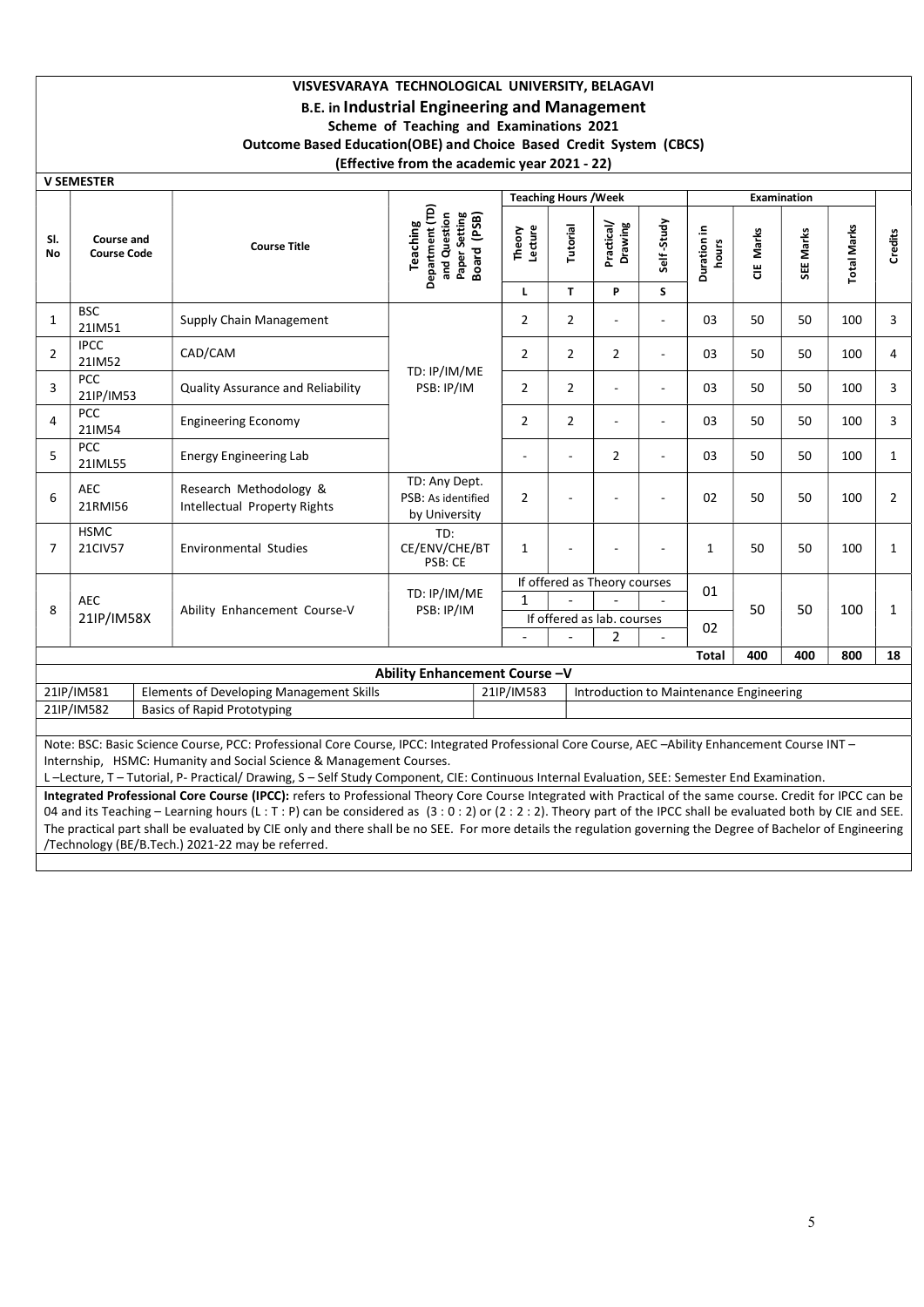# VISVESVARAYA TECHNOLOGICAL UNIVERSITY, BELAGAVI B.E. in Industrial Engineering and Management Scheme of Teaching and Examinations 2021 Outcome Based Education(OBE) and Choice Based Credit System (CBCS) (Effective from the academic year 2021 - 22)

|                                                                                                                                                  | <b>V SEMESTER</b>                |                                                        |                                                                             |                   |                |                                         |                          |                      |           |             |                    |                |  |
|--------------------------------------------------------------------------------------------------------------------------------------------------|----------------------------------|--------------------------------------------------------|-----------------------------------------------------------------------------|-------------------|----------------|-----------------------------------------|--------------------------|----------------------|-----------|-------------|--------------------|----------------|--|
|                                                                                                                                                  |                                  |                                                        |                                                                             |                   |                | <b>Teaching Hours / Week</b>            |                          |                      |           | Examination |                    |                |  |
| SI.<br>No                                                                                                                                        | Course and<br><b>Course Code</b> | <b>Course Title</b>                                    | Department (TD)<br>and Question<br>Paper Setting<br>Board (PSB)<br>Teaching | Theory<br>Lecture | Tutorial       | Practical/<br>Drawing                   | Self-Study               | Duration in<br>hours | CIE Marks | SEE Marks   | <b>Total Marks</b> | <b>Credits</b> |  |
|                                                                                                                                                  |                                  |                                                        |                                                                             |                   | T.             | P                                       | S                        |                      |           |             |                    |                |  |
| $\mathbf{1}$                                                                                                                                     | <b>BSC</b><br>21IM51             | Supply Chain Management                                |                                                                             | $\overline{2}$    | $\overline{2}$ |                                         | $\sim$                   | 03                   | 50        | 50          | 100                | 3              |  |
| $\overline{2}$                                                                                                                                   | <b>IPCC</b><br>21IM52            | CAD/CAM                                                | TD: IP/IM/ME                                                                | $\overline{2}$    | $\overline{2}$ | $\overline{2}$                          | $\overline{\phantom{a}}$ | 03                   | 50        | 50          | 100                | 4              |  |
| 3                                                                                                                                                | <b>PCC</b><br>21IP/IM53          | <b>Quality Assurance and Reliability</b>               | PSB: IP/IM                                                                  | $\mathbf{2}$      | $\overline{2}$ |                                         | $\overline{a}$           | 03                   | 50        | 50          | 100                | 3              |  |
| $\overline{4}$                                                                                                                                   | <b>PCC</b><br>21IM54             | <b>Engineering Economy</b>                             |                                                                             | $\overline{2}$    | $\overline{2}$ |                                         | $\sim$                   | 03                   | 50        | 50          | 100                | 3              |  |
| 5                                                                                                                                                | PCC<br>21IML55                   | <b>Energy Engineering Lab</b>                          |                                                                             | ٠                 |                | $\overline{2}$                          | ÷,                       | 03                   | 50        | 50          | 100                | $\mathbf{1}$   |  |
| 6                                                                                                                                                | <b>AEC</b><br>21RMI56            | Research Methodology &<br>Intellectual Property Rights | TD: Any Dept.<br>PSB: As identified<br>by University                        | $\overline{2}$    |                |                                         | $\blacksquare$           | 02                   | 50        | 50          | 100                | $\overline{2}$ |  |
| 7                                                                                                                                                | <b>HSMC</b><br>21CIV57           | <b>Environmental Studies</b>                           | TD:<br>CE/ENV/CHE/BT<br>PSB: CE                                             | $\mathbf{1}$      |                |                                         | ÷                        | $\mathbf{1}$         | 50        | 50          | 100                | 1              |  |
|                                                                                                                                                  |                                  |                                                        |                                                                             |                   |                | If offered as Theory courses            |                          | 01                   |           |             |                    |                |  |
| 8                                                                                                                                                | <b>AEC</b>                       | Ability Enhancement Course-V                           | TD: IP/IM/ME<br>PSB: IP/IM                                                  | $\mathbf{1}$      |                |                                         |                          |                      | 50        | 50          | 100                |                |  |
|                                                                                                                                                  | 21IP/IM58X                       |                                                        |                                                                             |                   |                | If offered as lab. courses              |                          | 02                   |           |             |                    | 1              |  |
|                                                                                                                                                  |                                  |                                                        |                                                                             |                   |                | 2                                       |                          |                      |           |             |                    |                |  |
|                                                                                                                                                  |                                  |                                                        |                                                                             |                   |                |                                         |                          | <b>Total</b>         | 400       | 400         | 800                | 18             |  |
|                                                                                                                                                  |                                  |                                                        | Ability Enhancement Course-V                                                |                   |                |                                         |                          |                      |           |             |                    |                |  |
|                                                                                                                                                  | 21IP/IM581                       | <b>Elements of Developing Management Skills</b>        |                                                                             | 21IP/IM583        |                | Introduction to Maintenance Engineering |                          |                      |           |             |                    |                |  |
|                                                                                                                                                  | 21IP/IM582                       | <b>Basics of Rapid Prototyping</b>                     |                                                                             |                   |                |                                         |                          |                      |           |             |                    |                |  |
| Note: BSC: Basic Science Course, PCC: Professional Core Course, IPCC: Integrated Professional Core Course, AEC -Ability Enhancement Course INT - |                                  |                                                        |                                                                             |                   |                |                                         |                          |                      |           |             |                    |                |  |
|                                                                                                                                                  |                                  | $\frac{1}{2}$                                          |                                                                             |                   |                |                                         |                          |                      |           |             |                    |                |  |

Internship, HSMC: Humanity and Social Science & Management Courses.

L –Lecture, T – Tutorial, P- Practical/ Drawing, S – Self Study Component, CIE: Continuous Internal Evaluation, SEE: Semester End Examination.

Integrated Professional Core Course (IPCC): refers to Professional Theory Core Course Integrated with Practical of the same course. Credit for IPCC can be 04 and its Teaching – Learning hours (L : T : P) can be considered as (3 : 0 : 2) or (2 : 2 : 2). Theory part of the IPCC shall be evaluated both by CIE and SEE. The practical part shall be evaluated by CIE only and there shall be no SEE. For more details the regulation governing the Degree of Bachelor of Engineering /Technology (BE/B.Tech.) 2021-22 may be referred.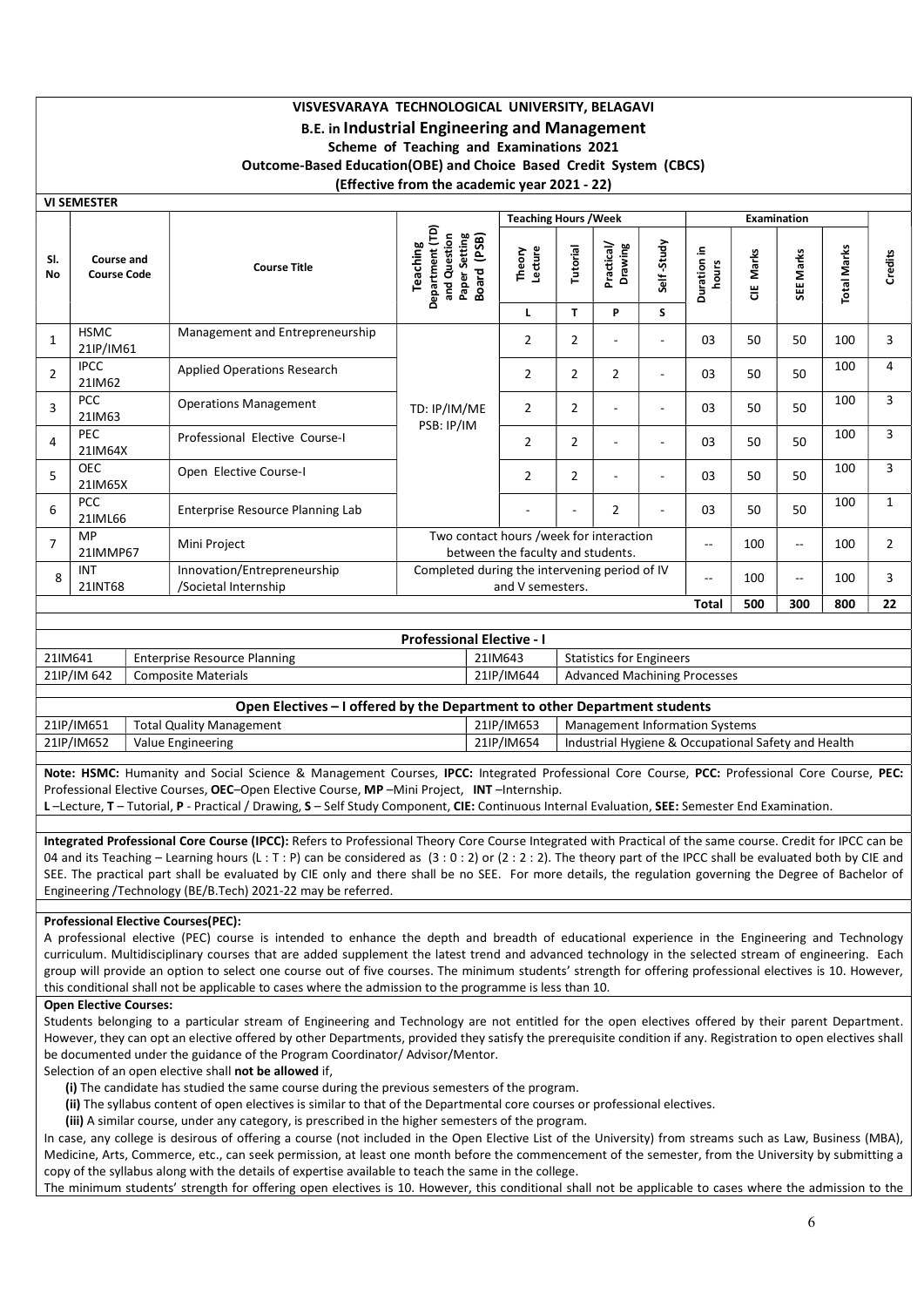# VISVESVARAYA TECHNOLOGICAL UNIVERSITY, BELAGAVI B.E. in Industrial Engineering and Management Scheme of Teaching and Examinations 2021 Outcome-Based Education(OBE) and Choice Based Credit System (CBCS) (Effective from the academic year 2021 - 22)

VI SEMESTER

|                                  |                                         |                                                     |                                                                                         | <b>Teaching Hours / Week</b>                                                 |                |                          |                          |                      |            | <b>Examination</b>       |                    |                |
|----------------------------------|-----------------------------------------|-----------------------------------------------------|-----------------------------------------------------------------------------------------|------------------------------------------------------------------------------|----------------|--------------------------|--------------------------|----------------------|------------|--------------------------|--------------------|----------------|
| SI.<br><b>No</b>                 | <b>Course and</b><br><b>Course Code</b> | <b>Course Title</b>                                 | Department (TD)<br>etting<br>(PSB)<br>and Question<br>Teaching<br>U)<br>Board<br>Paper: | Lecture<br>Theory                                                            | Tutorial       | Practical/<br>Drawing    | Self-Study               | Duration in<br>hours | Marks<br>쁭 | SEE Marks                | <b>Total Marks</b> | <b>Credits</b> |
|                                  |                                         |                                                     |                                                                                         | L                                                                            | T              | P                        | S                        |                      |            |                          |                    |                |
| $\mathbf{1}$                     | <b>HSMC</b><br>21IP/IM61                | Management and Entrepreneurship                     | TD: IP/IM/ME                                                                            | $\overline{2}$                                                               | $\overline{2}$ | $\overline{\phantom{a}}$ | $\overline{\phantom{a}}$ | 03                   | 50         | 50                       | 100                | 3              |
| $\overline{2}$                   | <b>IPCC</b><br>21IM62                   | <b>Applied Operations Research</b>                  |                                                                                         | 2                                                                            | $\overline{2}$ | $\overline{2}$           | $\overline{\phantom{a}}$ | 03                   | 50         | 50                       | 100                | 4              |
| $\overline{3}$                   | <b>PCC</b><br>21IM63                    | <b>Operations Management</b>                        |                                                                                         | $\overline{2}$                                                               | $\overline{2}$ |                          | $\overline{\phantom{a}}$ | 03                   | 50         | 50                       | 100                | 3              |
| 4                                | <b>PEC</b><br>21IM64X                   | Professional Elective Course-I                      | PSB: IP/IM                                                                              | $\overline{2}$                                                               | $\overline{2}$ |                          | $\overline{\phantom{a}}$ | 03                   | 50         | 50                       | 100                | 3              |
| 5                                | <b>OEC</b><br>21IM65X                   | Open Elective Course-I                              |                                                                                         | $\overline{2}$                                                               | $\overline{2}$ |                          | $\overline{\phantom{a}}$ | 03                   | 50         | 50                       | 100                | 3              |
| 6                                | <b>PCC</b><br>21IML66                   | Enterprise Resource Planning Lab                    |                                                                                         |                                                                              |                | $\overline{2}$           |                          | 03                   | 50         | 50                       | 100                | $\mathbf{1}$   |
| $\overline{7}$                   | MP<br>21IMMP67                          | Mini Project                                        |                                                                                         | Two contact hours /week for interaction<br>between the faculty and students. |                |                          |                          |                      | 100        | $\overline{\phantom{a}}$ | 100                | $\overline{2}$ |
| 8                                | INT<br>21INT68                          | Innovation/Entrepreneurship<br>/Societal Internship | Completed during the intervening period of IV<br>and V semesters.                       |                                                                              | $\sim$ $\sim$  | 100                      | $\overline{\phantom{a}}$ | 100                  | 3          |                          |                    |                |
| 500<br>22<br>300<br>800<br>Total |                                         |                                                     |                                                                                         |                                                                              |                |                          |                          |                      |            |                          |                    |                |

| <b>Professional Elective - I</b> |                                                                           |            |                                     |  |  |  |  |  |  |  |  |
|----------------------------------|---------------------------------------------------------------------------|------------|-------------------------------------|--|--|--|--|--|--|--|--|
| 21IM641                          | Enterprise Resource Planning                                              | 21IM643    | <b>Statistics for Engineers</b>     |  |  |  |  |  |  |  |  |
| 21IP/IM 642                      | <b>Composite Materials</b>                                                | 21IP/IM644 | <b>Advanced Machining Processes</b> |  |  |  |  |  |  |  |  |
|                                  |                                                                           |            |                                     |  |  |  |  |  |  |  |  |
|                                  | Open Electives – I offered by the Department to other Department students |            |                                     |  |  |  |  |  |  |  |  |

| 21IP/IM651 | otal<br>' Management<br>Quality | /IM653<br>21IP/ | svstems ו<br>Management<br>: Information                                    |
|------------|---------------------------------|-----------------|-----------------------------------------------------------------------------|
| 21IP/IM652 | Value<br>. Engineering          | /IM654<br>21IP. | v and Health:<br>l Industrial Hygiene & .<br>. Safety :<br>. Occupational ' |
|            |                                 |                 |                                                                             |

Note: HSMC: Humanity and Social Science & Management Courses, IPCC: Integrated Professional Core Course, PCC: Professional Core Course, PEC: Professional Elective Courses, OEC–Open Elective Course, MP –Mini Project, INT –Internship.

L-Lecture, T - Tutorial, P - Practical / Drawing, S - Self Study Component, CIE: Continuous Internal Evaluation, SEE: Semester End Examination.

Integrated Professional Core Course (IPCC): Refers to Professional Theory Core Course Integrated with Practical of the same course. Credit for IPCC can be 04 and its Teaching – Learning hours (L : T : P) can be considered as  $(3:0:2)$  or  $(2:2:2)$ . The theory part of the IPCC shall be evaluated both by CIE and SEE. The practical part shall be evaluated by CIE only and there shall be no SEE. For more details, the regulation governing the Degree of Bachelor of Engineering /Technology (BE/B.Tech) 2021-22 may be referred.

# Professional Elective Courses(PEC):

A professional elective (PEC) course is intended to enhance the depth and breadth of educational experience in the Engineering and Technology curriculum. Multidisciplinary courses that are added supplement the latest trend and advanced technology in the selected stream of engineering. Each group will provide an option to select one course out of five courses. The minimum students' strength for offering professional electives is 10. However, this conditional shall not be applicable to cases where the admission to the programme is less than 10.

# Open Elective Courses:

Students belonging to a particular stream of Engineering and Technology are not entitled for the open electives offered by their parent Department. However, they can opt an elective offered by other Departments, provided they satisfy the prerequisite condition if any. Registration to open electives shall be documented under the guidance of the Program Coordinator/ Advisor/Mentor.

Selection of an open elective shall not be allowed if,

(i) The candidate has studied the same course during the previous semesters of the program.

(ii) The syllabus content of open electives is similar to that of the Departmental core courses or professional electives.

(iii) A similar course, under any category, is prescribed in the higher semesters of the program.

In case, any college is desirous of offering a course (not included in the Open Elective List of the University) from streams such as Law, Business (MBA), Medicine, Arts, Commerce, etc., can seek permission, at least one month before the commencement of the semester, from the University by submitting a copy of the syllabus along with the details of expertise available to teach the same in the college.

The minimum students' strength for offering open electives is 10. However, this conditional shall not be applicable to cases where the admission to the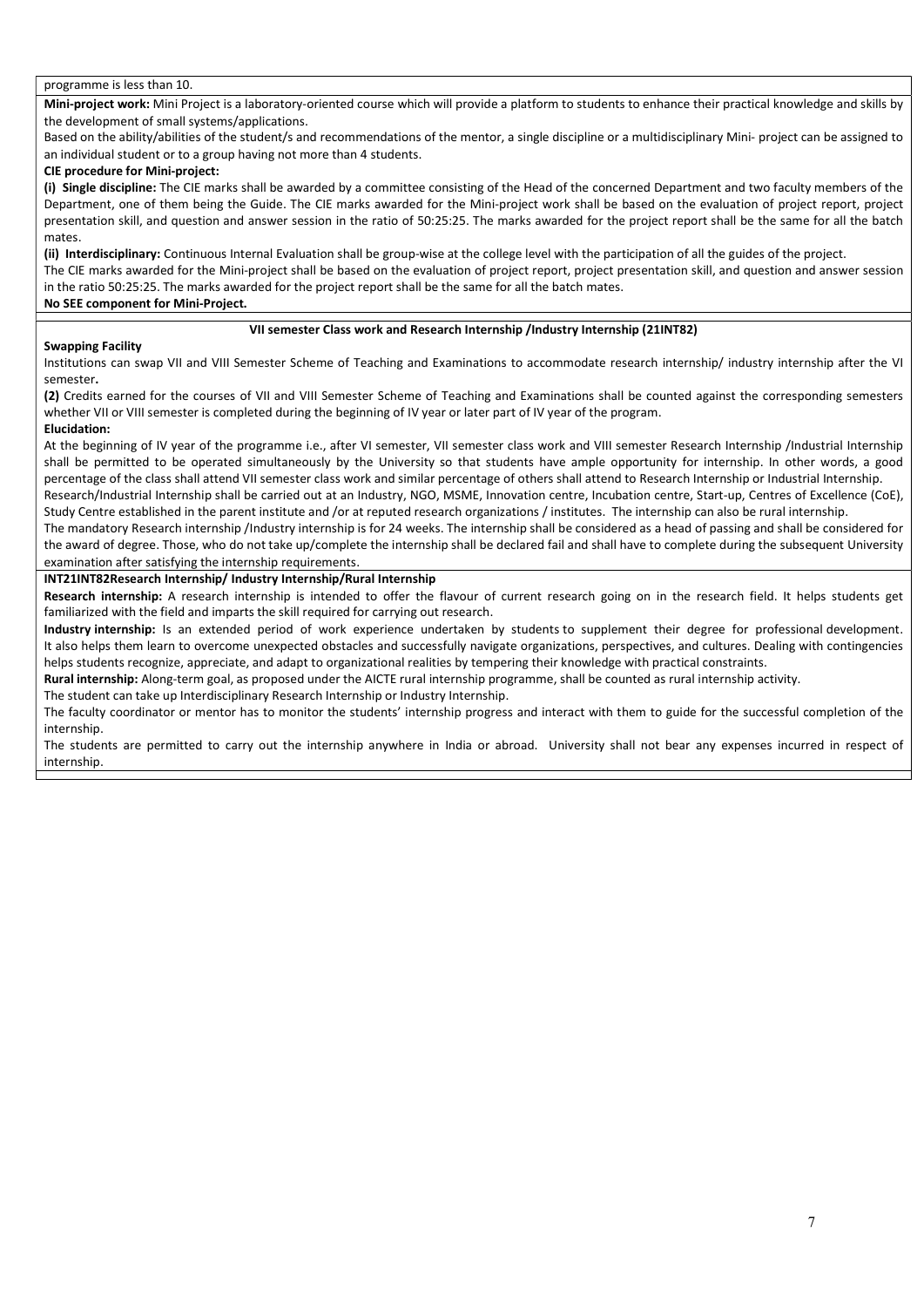#### programme is less than 10.

Mini-project work: Mini Project is a laboratory-oriented course which will provide a platform to students to enhance their practical knowledge and skills by the development of small systems/applications.

Based on the ability/abilities of the student/s and recommendations of the mentor, a single discipline or a multidisciplinary Mini- project can be assigned to an individual student or to a group having not more than 4 students.

## CIE procedure for Mini-project:

(i) Single discipline: The CIE marks shall be awarded by a committee consisting of the Head of the concerned Department and two faculty members of the Department, one of them being the Guide. The CIE marks awarded for the Mini-project work shall be based on the evaluation of project report, project presentation skill, and question and answer session in the ratio of 50:25:25. The marks awarded for the project report shall be the same for all the batch mates.

(ii) Interdisciplinary: Continuous Internal Evaluation shall be group-wise at the college level with the participation of all the guides of the project. The CIE marks awarded for the Mini-project shall be based on the evaluation of project report, project presentation skill, and question and answer session in the ratio 50:25:25. The marks awarded for the project report shall be the same for all the batch mates.

# No SEE component for Mini-Project.

# VII semester Class work and Research Internship /Industry Internship (21INT82)

# Swapping Facility

Institutions can swap VII and VIII Semester Scheme of Teaching and Examinations to accommodate research internship/ industry internship after the VI semester.

(2) Credits earned for the courses of VII and VIII Semester Scheme of Teaching and Examinations shall be counted against the corresponding semesters whether VII or VIII semester is completed during the beginning of IV year or later part of IV year of the program.

#### Elucidation:

At the beginning of IV year of the programme i.e., after VI semester, VII semester class work and VIII semester Research Internship /Industrial Internship shall be permitted to be operated simultaneously by the University so that students have ample opportunity for internship. In other words, a good percentage of the class shall attend VII semester class work and similar percentage of others shall attend to Research Internship or Industrial Internship.

Research/Industrial Internship shall be carried out at an Industry, NGO, MSME, Innovation centre, Incubation centre, Start-up, Centres of Excellence (CoE), Study Centre established in the parent institute and /or at reputed research organizations / institutes. The internship can also be rural internship.

The mandatory Research internship /Industry internship is for 24 weeks. The internship shall be considered as a head of passing and shall be considered for the award of degree. Those, who do not take up/complete the internship shall be declared fail and shall have to complete during the subsequent University examination after satisfying the internship requirements.

# INT21INT82Research Internship/ Industry Internship/Rural Internship

Research internship: A research internship is intended to offer the flavour of current research going on in the research field. It helps students get familiarized with the field and imparts the skill required for carrying out research.

Industry internship: Is an extended period of work experience undertaken by students to supplement their degree for professional development. It also helps them learn to overcome unexpected obstacles and successfully navigate organizations, perspectives, and cultures. Dealing with contingencies helps students recognize, appreciate, and adapt to organizational realities by tempering their knowledge with practical constraints.

Rural internship: Along-term goal, as proposed under the AICTE rural internship programme, shall be counted as rural internship activity.

The student can take up Interdisciplinary Research Internship or Industry Internship.

The faculty coordinator or mentor has to monitor the students' internship progress and interact with them to guide for the successful completion of the internship.

The students are permitted to carry out the internship anywhere in India or abroad. University shall not bear any expenses incurred in respect of internship.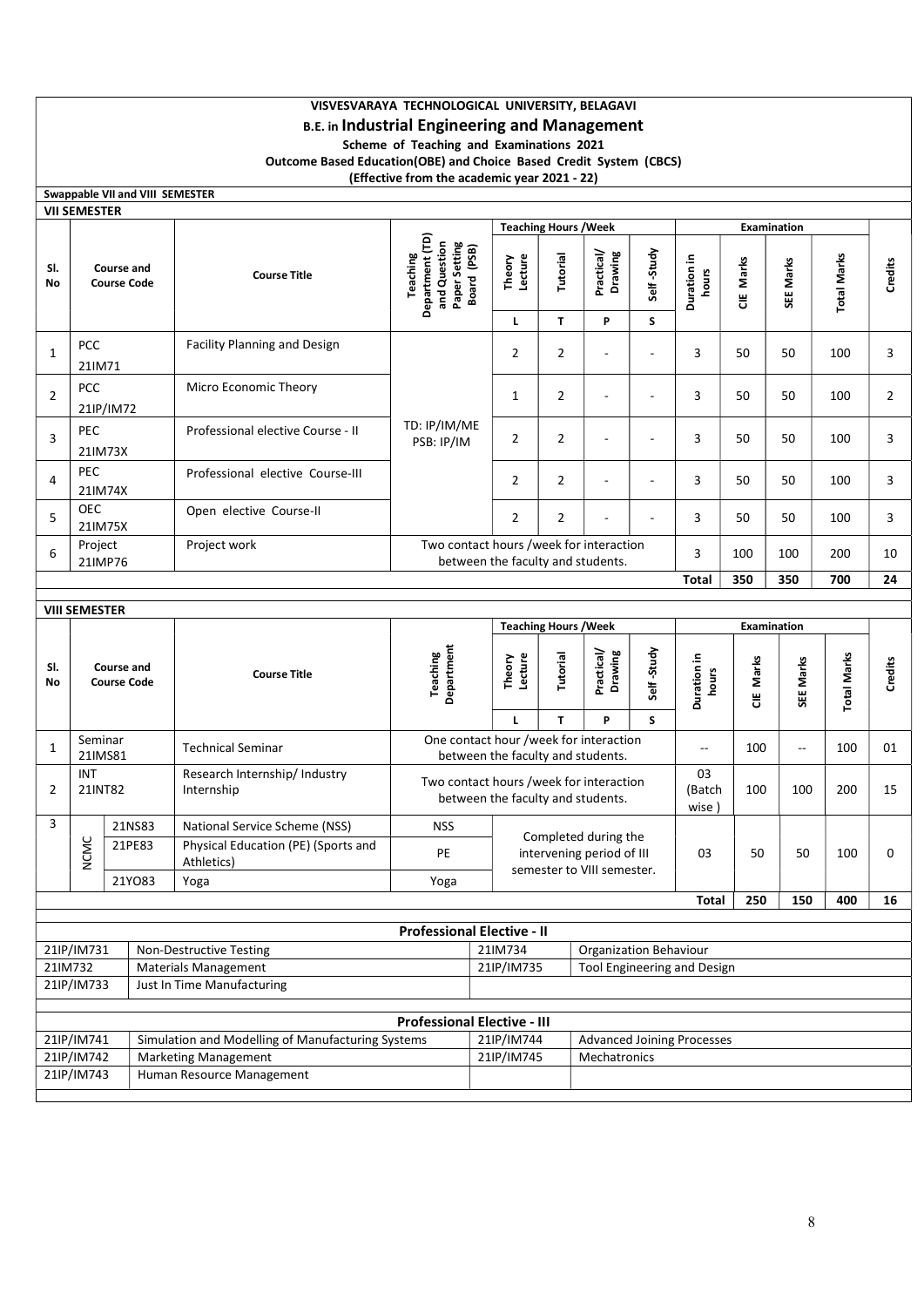# VISVESVARAYA TECHNOLOGICAL UNIVERSITY, BELAGAVI

# B.E. in Industrial Engineering and Management

Scheme of Teaching and Examinations 2021

Outcome Based Education(OBE) and Choice Based Credit System (CBCS)

(Effective from the academic year 2021 - 22)

|                                                                 | <b>Swappable VII and VIII SEMESTER</b>  |        |                                                                              |                                                                             |                                                                              |                                                                             |                                                                                 |                          |                       |           |                                 |                    |                |                          |   |    |    |     |                |
|-----------------------------------------------------------------|-----------------------------------------|--------|------------------------------------------------------------------------------|-----------------------------------------------------------------------------|------------------------------------------------------------------------------|-----------------------------------------------------------------------------|---------------------------------------------------------------------------------|--------------------------|-----------------------|-----------|---------------------------------|--------------------|----------------|--------------------------|---|----|----|-----|----------------|
|                                                                 | VII SEMESTER                            |        |                                                                              |                                                                             |                                                                              | <b>Teaching Hours / Week</b>                                                |                                                                                 |                          |                       |           | <b>Examination</b>              |                    |                |                          |   |    |    |     |                |
| SI.<br>No                                                       | <b>Course and</b><br><b>Course Code</b> |        | <b>Course Title</b>                                                          | Department (TD)<br>Paper Setting<br>and Question<br>Board (PSB)<br>Teaching | Theory<br>Lecture                                                            | Tutorial                                                                    | Practical/<br>Drawing                                                           | Self-Study               | Duration in<br>hours  | CIE Marks | SEE Marks                       | <b>Total Marks</b> | Credits        |                          |   |    |    |     |                |
|                                                                 |                                         |        |                                                                              |                                                                             | L                                                                            | T                                                                           | P                                                                               | S                        |                       |           |                                 |                    |                |                          |   |    |    |     |                |
| 1                                                               | PCC<br>21IM71                           |        | <b>Facility Planning and Design</b>                                          |                                                                             | $\overline{2}$                                                               | $\overline{2}$                                                              | $\blacksquare$                                                                  | ÷,                       | 3                     | 50        | 50                              | 100                | 3              |                          |   |    |    |     |                |
| $\overline{2}$                                                  | PCC<br>21IP/IM72                        |        | Micro Economic Theory                                                        |                                                                             |                                                                              |                                                                             |                                                                                 |                          |                       |           | $\mathbf{1}$                    | $\overline{2}$     | $\blacksquare$ | $\overline{\phantom{a}}$ | 3 | 50 | 50 | 100 | $\overline{2}$ |
| 3                                                               | PEC<br>21IM73X                          |        | Professional elective Course - II                                            | TD: IP/IM/ME<br>PSB: IP/IM                                                  | $\overline{2}$                                                               | $\overline{2}$                                                              | $\blacksquare$                                                                  |                          | 3                     | 50        | 50                              | 100                | 3              |                          |   |    |    |     |                |
| 4                                                               | <b>PEC</b><br>21IM74X                   |        | Professional elective Course-III                                             |                                                                             | $\overline{2}$                                                               | $\overline{2}$                                                              | $\blacksquare$                                                                  | $\overline{\phantom{a}}$ | 3                     | 50        | 50                              | 100                | 3              |                          |   |    |    |     |                |
| 5                                                               | <b>OEC</b><br>21IM75X                   |        | Open elective Course-II                                                      |                                                                             | $\overline{2}$                                                               | $\overline{2}$                                                              |                                                                                 |                          | 3                     | 50        | 50                              | 100                | 3              |                          |   |    |    |     |                |
| Project work<br>Project<br>6<br>21IMP76                         |                                         |        | Two contact hours /week for interaction<br>between the faculty and students. |                                                                             |                                                                              |                                                                             |                                                                                 | 3                        | 100                   | 100       | 200                             | 10                 |                |                          |   |    |    |     |                |
|                                                                 | 350<br>350<br>700<br>24<br><b>Total</b> |        |                                                                              |                                                                             |                                                                              |                                                                             |                                                                                 |                          |                       |           |                                 |                    |                |                          |   |    |    |     |                |
| <b>VIII SEMESTER</b>                                            |                                         |        |                                                                              |                                                                             |                                                                              |                                                                             |                                                                                 |                          |                       |           |                                 |                    |                |                          |   |    |    |     |                |
|                                                                 |                                         |        |                                                                              |                                                                             | <b>Teaching Hours / Week</b>                                                 |                                                                             |                                                                                 |                          | Examination           |           |                                 |                    |                |                          |   |    |    |     |                |
| SI.<br>No                                                       | Course and<br><b>Course Code</b>        |        | <b>Course Title</b>                                                          | Department<br><b>Teaching</b>                                               | Theory<br>Lecture<br>$\mathbf{L}$                                            | Tutorial<br>T                                                               | Practical/<br>Drawing<br>P                                                      | Self-Study<br>S          | Duration in<br>hours  | CIE Marks | SEE Marks                       | <b>Total Marks</b> | <b>Credits</b> |                          |   |    |    |     |                |
| 1                                                               | Seminar<br>21IMS81                      |        | <b>Technical Seminar</b>                                                     |                                                                             |                                                                              | One contact hour /week for interaction<br>between the faculty and students. |                                                                                 |                          |                       |           | 100<br>$\overline{\phantom{a}}$ | 100                | 01             |                          |   |    |    |     |                |
| $\overline{2}$                                                  | <b>INT</b><br>21INT82                   |        | Research Internship/ Industry<br>Internship                                  |                                                                             | Two contact hours /week for interaction<br>between the faculty and students. |                                                                             |                                                                                 |                          | 03<br>(Batch<br>wise) | 100       | 100                             | 200                | 15             |                          |   |    |    |     |                |
| 3                                                               |                                         | 21NS83 | National Service Scheme (NSS)                                                | <b>NSS</b>                                                                  |                                                                              |                                                                             |                                                                                 |                          |                       |           |                                 |                    |                |                          |   |    |    |     |                |
|                                                                 | <b>NCMC</b>                             | 21PE83 | Physical Education (PE) (Sports and<br>Athletics)                            | PE                                                                          |                                                                              |                                                                             | Completed during the<br>intervening period of III<br>semester to VIII semester. |                          | 03                    | 50        | 50                              | 100                | 0              |                          |   |    |    |     |                |
|                                                                 |                                         | 21YO83 | Yoga                                                                         | Yoga                                                                        |                                                                              |                                                                             |                                                                                 |                          |                       |           |                                 |                    |                |                          |   |    |    |     |                |
|                                                                 |                                         |        |                                                                              |                                                                             |                                                                              |                                                                             |                                                                                 |                          | <b>Total</b>          | 250       | 150                             | 400                | 16             |                          |   |    |    |     |                |
|                                                                 |                                         |        |                                                                              | <b>Professional Elective - II</b>                                           |                                                                              |                                                                             |                                                                                 |                          |                       |           |                                 |                    |                |                          |   |    |    |     |                |
|                                                                 | 21IP/IM731                              |        | Non-Destructive Testing                                                      |                                                                             | 21IM734                                                                      |                                                                             | <b>Organization Behaviour</b>                                                   |                          |                       |           |                                 |                    |                |                          |   |    |    |     |                |
| 21IM732                                                         |                                         |        | <b>Materials Management</b>                                                  |                                                                             | 21IP/IM735                                                                   |                                                                             | Tool Engineering and Design                                                     |                          |                       |           |                                 |                    |                |                          |   |    |    |     |                |
|                                                                 | 21IP/IM733                              |        | Just In Time Manufacturing                                                   |                                                                             |                                                                              |                                                                             |                                                                                 |                          |                       |           |                                 |                    |                |                          |   |    |    |     |                |
|                                                                 |                                         |        |                                                                              | <b>Professional Elective - III</b>                                          |                                                                              |                                                                             |                                                                                 |                          |                       |           |                                 |                    |                |                          |   |    |    |     |                |
| 21lP/IM741<br>Simulation and Modelling of Manufacturing Systems |                                         |        |                                                                              |                                                                             |                                                                              |                                                                             | <b>Advanced Joining Processes</b>                                               |                          |                       |           |                                 |                    |                |                          |   |    |    |     |                |
| 21IP/IM742<br><b>Marketing Management</b>                       |                                         |        |                                                                              |                                                                             | 21lP/IM744<br>21IP/IM745                                                     |                                                                             | Mechatronics                                                                    |                          |                       |           |                                 |                    |                |                          |   |    |    |     |                |

21IP/IM743 | Human Resource Management